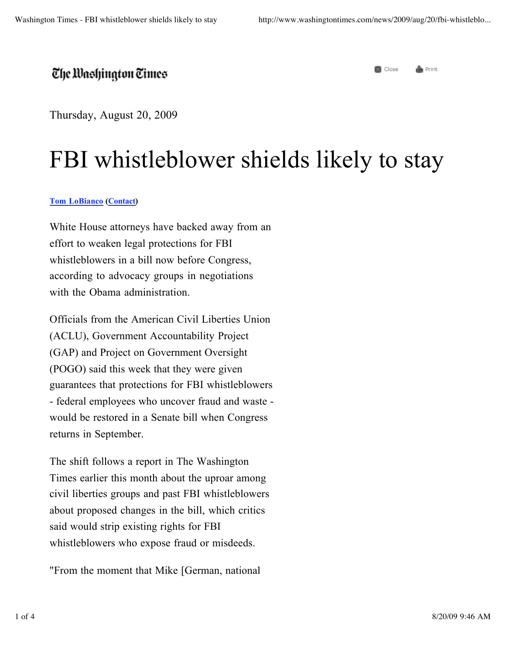## The Washington Times

Thursday, August 20, 2009

## FBI whistleblower shields likely to stay

## **Tom LoBianco (Contact)**

White House attorneys have backed away from an effort to weaken legal protections for FBI whistleblowers in a bill now before Congress, according to advocacy groups in negotiations with the Obama administration.

Officials from the American Civil Liberties Union (ACLU), Government Accountability Project (GAP) and Project on Government Oversight (POGO) said this week that they were given guarantees that protections for FBI whistleblowers - federal employees who uncover fraud and waste would be restored in a Senate bill when Congress returns in September.

The shift follows a report in The Washington Times earlier this month about the uproar among civil liberties groups and past FBI whistleblowers about proposed changes in the bill, which critics said would strip existing rights for FBI whistleblowers who expose fraud or misdeeds.

"From the moment that Mike [German, national

e Print **R** Close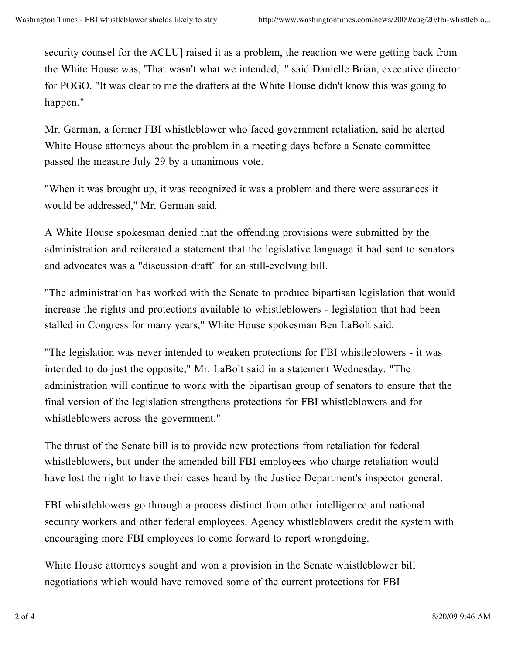security counsel for the ACLU] raised it as a problem, the reaction we were getting back from the White House was, 'That wasn't what we intended,' " said Danielle Brian, executive director for POGO. "It was clear to me the drafters at the White House didn't know this was going to happen."

Mr. German, a former FBI whistleblower who faced government retaliation, said he alerted White House attorneys about the problem in a meeting days before a Senate committee passed the measure July 29 by a unanimous vote.

"When it was brought up, it was recognized it was a problem and there were assurances it would be addressed," Mr. German said.

A White House spokesman denied that the offending provisions were submitted by the administration and reiterated a statement that the legislative language it had sent to senators and advocates was a "discussion draft" for an still-evolving bill.

"The administration has worked with the Senate to produce bipartisan legislation that would increase the rights and protections available to whistleblowers - legislation that had been stalled in Congress for many years," White House spokesman Ben LaBolt said.

"The legislation was never intended to weaken protections for FBI whistleblowers - it was intended to do just the opposite," Mr. LaBolt said in a statement Wednesday. "The administration will continue to work with the bipartisan group of senators to ensure that the final version of the legislation strengthens protections for FBI whistleblowers and for whistleblowers across the government."

The thrust of the Senate bill is to provide new protections from retaliation for federal whistleblowers, but under the amended bill FBI employees who charge retaliation would have lost the right to have their cases heard by the Justice Department's inspector general.

FBI whistleblowers go through a process distinct from other intelligence and national security workers and other federal employees. Agency whistleblowers credit the system with encouraging more FBI employees to come forward to report wrongdoing.

White House attorneys sought and won a provision in the Senate whistleblower bill negotiations which would have removed some of the current protections for FBI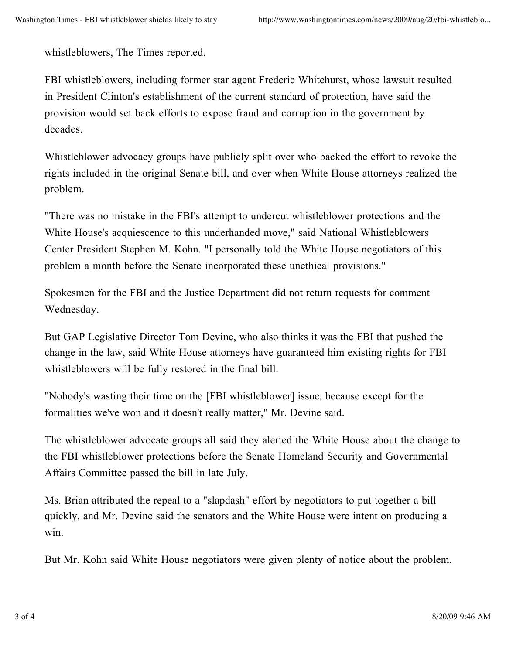whistleblowers, The Times reported.

FBI whistleblowers, including former star agent Frederic Whitehurst, whose lawsuit resulted in President Clinton's establishment of the current standard of protection, have said the provision would set back efforts to expose fraud and corruption in the government by decades.

Whistleblower advocacy groups have publicly split over who backed the effort to revoke the rights included in the original Senate bill, and over when White House attorneys realized the problem.

"There was no mistake in the FBI's attempt to undercut whistleblower protections and the White House's acquiescence to this underhanded move," said National Whistleblowers Center President Stephen M. Kohn. "I personally told the White House negotiators of this problem a month before the Senate incorporated these unethical provisions."

Spokesmen for the FBI and the Justice Department did not return requests for comment Wednesday.

But GAP Legislative Director Tom Devine, who also thinks it was the FBI that pushed the change in the law, said White House attorneys have guaranteed him existing rights for FBI whistleblowers will be fully restored in the final bill.

"Nobody's wasting their time on the [FBI whistleblower] issue, because except for the formalities we've won and it doesn't really matter," Mr. Devine said.

The whistleblower advocate groups all said they alerted the White House about the change to the FBI whistleblower protections before the Senate Homeland Security and Governmental Affairs Committee passed the bill in late July.

Ms. Brian attributed the repeal to a "slapdash" effort by negotiators to put together a bill quickly, and Mr. Devine said the senators and the White House were intent on producing a win.

But Mr. Kohn said White House negotiators were given plenty of notice about the problem.